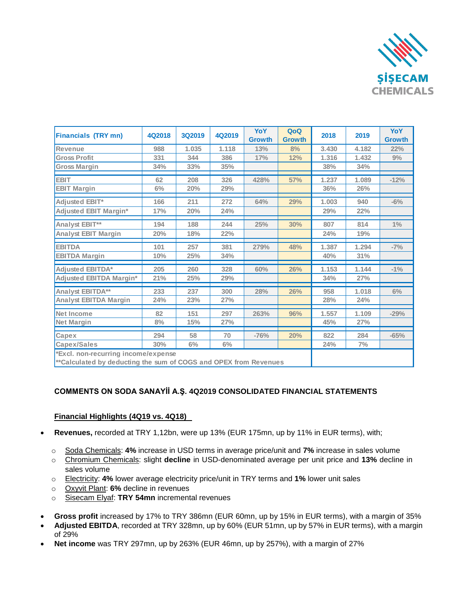

| <b>Financials (TRY mn)</b>                                       | 4Q2018 | <b>3Q2019</b> | 4Q2019 | YoY<br><b>Growth</b> | QoQ<br><b>Growth</b> | 2018  | 2019  | YoY<br><b>Growth</b> |
|------------------------------------------------------------------|--------|---------------|--------|----------------------|----------------------|-------|-------|----------------------|
| <b>Revenue</b>                                                   | 988    | 1.035         | 1.118  | 13%                  | 8%                   | 3.430 | 4.182 | 22%                  |
| <b>Gross Profit</b>                                              | 331    | 344           | 386    | 17%                  | 12%                  | 1.316 | 1.432 | 9%                   |
| <b>Gross Margin</b>                                              | 34%    | 33%           | 35%    |                      |                      | 38%   | 34%   |                      |
| <b>EBIT</b>                                                      | 62     | 208           | 326    | 428%                 | 57%                  | 1.237 | 1.089 | $-12%$               |
| <b>EBIT Margin</b>                                               | 6%     | 20%           | 29%    |                      |                      | 36%   | 26%   |                      |
| <b>Adjusted EBIT*</b>                                            | 166    | 211           | 272    | 64%                  | 29%                  | 1.003 | 940   | $-6%$                |
| <b>Adjusted EBIT Margin*</b>                                     | 17%    | 20%           | 24%    |                      |                      | 29%   | 22%   |                      |
| Analyst EBIT**                                                   | 194    | 188           | 244    | 25%                  | 30%                  | 807   | 814   | $1\%$                |
| <b>Analyst EBIT Margin</b>                                       | 20%    | 18%           | 22%    |                      |                      | 24%   | 19%   |                      |
| <b>EBITDA</b>                                                    | 101    | 257           | 381    | 279%                 | 48%                  | 1.387 | 1.294 | $-7%$                |
| <b>EBITDA Margin</b>                                             | 10%    | 25%           | 34%    |                      |                      | 40%   | 31%   |                      |
| <b>Adjusted EBITDA*</b>                                          | 205    | 260           | 328    | 60%                  | 26%                  | 1.153 | 1.144 | $-1\%$               |
| <b>Adjusted EBITDA Margin*</b>                                   | 21%    | 25%           | 29%    |                      |                      | 34%   | 27%   |                      |
| Analyst EBITDA**                                                 | 233    | 237           | 300    | 28%                  | 26%                  | 958   | 1.018 | 6%                   |
| <b>Analyst EBITDA Margin</b>                                     | 24%    | 23%           | 27%    |                      |                      | 28%   | 24%   |                      |
| <b>Net Income</b>                                                | 82     | 151           | 297    | 263%                 | 96%                  | 1.557 | 1.109 | $-29%$               |
| Net Margin                                                       | 8%     | 15%           | 27%    |                      |                      | 45%   | 27%   |                      |
| Capex                                                            | 294    | 58            | 70     | $-76%$               | 20%                  | 822   | 284   | $-65%$               |
| Capex/Sales                                                      | 30%    | $6\%$         | 6%     |                      |                      | 24%   | 7%    |                      |
| *Excl. non-recurring income/expense                              |        |               |        |                      |                      |       |       |                      |
| **Calculated by deducting the sum of COGS and OPEX from Revenues |        |               |        |                      |                      |       |       |                      |

## **COMMENTS ON SODA SANAYİİ A.Ş. 4Q2019 CONSOLIDATED FINANCIAL STATEMENTS**

### **Financial Highlights (4Q19 vs. 4Q18)**

- **Revenues,** recorded at TRY 1,12bn, were up 13% (EUR 175mn, up by 11% in EUR terms), with;
	- o Soda Chemicals: **4%** increase in USD terms in average price/unit and **7%** increase in sales volume
	- o Chromium Chemicals: slight **decline** in USD-denominated average per unit price and **13%** decline in sales volume
	- o Electricity: **4%** lower average electricity price/unit in TRY terms and **1%** lower unit sales
	- o Oxyvit Plant: **6%** decline in revenues
	- o Sisecam Elyaf: **TRY 54mn** incremental revenues
- **Gross profit** increased by 17% to TRY 386mn (EUR 60mn, up by 15% in EUR terms), with a margin of 35%
- **Adjusted EBITDA**, recorded at TRY 328mn, up by 60% (EUR 51mn, up by 57% in EUR terms), with a margin of 29%
- **Net income** was TRY 297mn, up by 263% (EUR 46mn, up by 257%), with a margin of 27%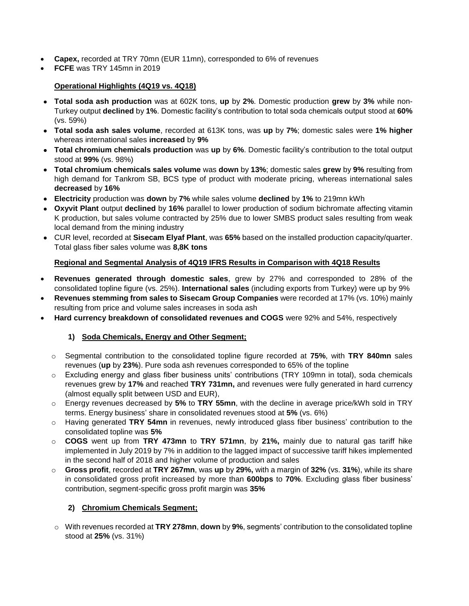- **Capex,** recorded at TRY 70mn (EUR 11mn), corresponded to 6% of revenues
- **FCFE** was TRY 145mn in 2019

## **Operational Highlights (4Q19 vs. 4Q18)**

- **Total soda ash production** was at 602K tons, **up** by **2%**. Domestic production **grew** by **3%** while non-Turkey output **declined** by **1%**. Domestic facility's contribution to total soda chemicals output stood at **60%** (vs. 59%)
- **Total soda ash sales volume**, recorded at 613K tons, was **up** by **7%**; domestic sales were **1% higher**  whereas international sales **increased** by **9%**
- **Total chromium chemicals production** was **up** by **6%**. Domestic facility's contribution to the total output stood at **99%** (vs. 98%)
- **Total chromium chemicals sales volume** was **down** by **13%**; domestic sales **grew** by **9%** resulting from high demand for Tankrom SB, BCS type of product with moderate pricing, whereas international sales **decreased** by **16%**
- **Electricity** production was **down** by **7%** while sales volume **declined** by **1%** to 219mn kWh
- **Oxyvit Plant** output **declined** by **16%** parallel to lower production of sodium bichromate affecting vitamin K production, but sales volume contracted by 25% due to lower SMBS product sales resulting from weak local demand from the mining industry
- CUR level, recorded at **Sisecam Elyaf Plant**, was **65%** based on the installed production capacity/quarter. Total glass fiber sales volume was **8,8K tons**

## **Regional and Segmental Analysis of 4Q19 IFRS Results in Comparison with 4Q18 Results**

- **Revenues generated through domestic sales**, grew by 27% and corresponded to 28% of the consolidated topline figure (vs. 25%). **International sales** (including exports from Turkey) were up by 9%
- **Revenues stemming from sales to Sisecam Group Companies** were recorded at 17% (vs. 10%) mainly resulting from price and volume sales increases in soda ash
- **Hard currency breakdown of consolidated revenues and COGS** were 92% and 54%, respectively

## **1) Soda Chemicals, Energy and Other Segment;**

- o Segmental contribution to the consolidated topline figure recorded at **75%**, with **TRY 840mn** sales revenues (**up** by **23%**). Pure soda ash revenues corresponded to 65% of the topline
- o Excluding energy and glass fiber business units' contributions (TRY 109mn in total), soda chemicals revenues grew by **17%** and reached **TRY 731mn,** and revenues were fully generated in hard currency (almost equally split between USD and EUR),
- o Energy revenues decreased by **5%** to **TRY 55mn**, with the decline in average price/kWh sold in TRY terms. Energy business' share in consolidated revenues stood at **5%** (vs. 6%)
- o Having generated **TRY 54mn** in revenues, newly introduced glass fiber business' contribution to the consolidated topline was **5%**
- o **COGS** went up from **TRY 473mn** to **TRY 571mn**, by **21%,** mainly due to natural gas tariff hike implemented in July 2019 by 7% in addition to the lagged impact of successive tariff hikes implemented in the second half of 2018 and higher volume of production and sales
- o **Gross profit**, recorded at **TRY 267mn**, was **up** by **29%,** with a margin of **32%** (vs. **31%**), while its share in consolidated gross profit increased by more than **600bps** to **70%**. Excluding glass fiber business' contribution, segment-specific gross profit margin was **35%**

### **2) Chromium Chemicals Segment;**

o With revenues recorded at **TRY 278mn**, **down** by **9%**, segments' contribution to the consolidated topline stood at **25%** (vs. 31%)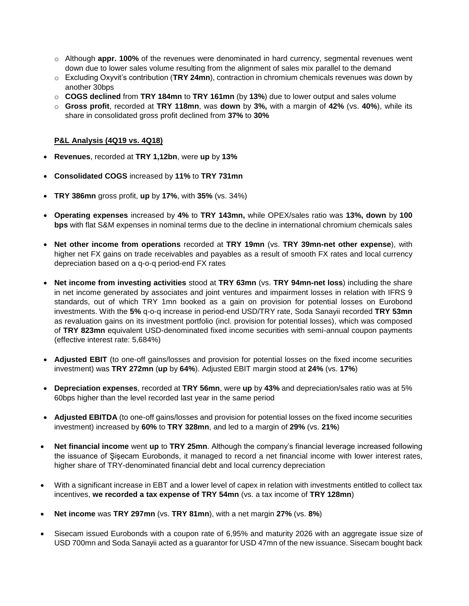- o Although **appr. 100%** of the revenues were denominated in hard currency, segmental revenues went down due to lower sales volume resulting from the alignment of sales mix parallel to the demand
- o Excluding Oxyvit's contribution (**TRY 24mn**), contraction in chromium chemicals revenues was down by another 30bps
- o **COGS declined** from **TRY 184mn** to **TRY 161mn** (by **13%**) due to lower output and sales volume
- o **Gross profit**, recorded at **TRY 118mn**, was **down** by **3%,** with a margin of **42%** (vs. **40%**), while its share in consolidated gross profit declined from **37%** to **30%**

#### **P&L Analysis (4Q19 vs. 4Q18)**

- **Revenues**, recorded at **TRY 1,12bn**, were **up** by **13%**
- **Consolidated COGS** increased by **11%** to **TRY 731mn**
- **TRY 386mn** gross profit, **up** by **17%**, with **35%** (vs. 34%)
- **Operating expenses** increased by **4%** to **TRY 143mn,** while OPEX/sales ratio was **13%, down** by **100 bps** with flat S&M expenses in nominal terms due to the decline in international chromium chemicals sales
- **Net other income from operations** recorded at **TRY 19mn** (vs. **TRY 39mn-net other expense**), with higher net FX gains on trade receivables and payables as a result of smooth FX rates and local currency depreciation based on a q-o-q period-end FX rates
- **Net income from investing activities** stood at **TRY 63mn** (vs. **TRY 94mn-net loss**) including the share in net income generated by associates and joint ventures and impairment losses in relation with IFRS 9 standards, out of which TRY 1mn booked as a gain on provision for potential losses on Eurobond investments. With the **5%** q-o-q increase in period-end USD/TRY rate, Soda Sanayii recorded **TRY 53mn**  as revaluation gains on its investment portfolio (incl. provision for potential losses), which was composed of **TRY 823mn** equivalent USD-denominated fixed income securities with semi-annual coupon payments (effective interest rate: 5,684%)
- **Adjusted EBIT** (to one-off gains/losses and provision for potential losses on the fixed income securities investment) was **TRY 272mn** (**up** by **64%**). Adjusted EBIT margin stood at **24%** (vs. **17%**)
- **Depreciation expenses**, recorded at **TRY 56mn**, were **up** by **43%** and depreciation/sales ratio was at 5% 60bps higher than the level recorded last year in the same period
- **Adjusted EBITDA** (to one-off gains/losses and provision for potential losses on the fixed income securities investment) increased by **60%** to **TRY 328mn**, and led to a margin of **29%** (vs. **21%**)
- **Net financial income** went **up** to **TRY 25mn**. Although the company's financial leverage increased following the issuance of Şişecam Eurobonds, it managed to record a net financial income with lower interest rates, higher share of TRY-denominated financial debt and local currency depreciation
- With a significant increase in EBT and a lower level of capex in relation with investments entitled to collect tax incentives, **we recorded a tax expense of TRY 54mn** (vs. a tax income of **TRY 128mn**)
- **Net income** was **TRY 297mn** (vs. **TRY 81mn**), with a net margin **27%** (vs. **8%**)
- Sisecam issued Eurobonds with a coupon rate of 6,95% and maturity 2026 with an aggregate issue size of USD 700mn and Soda Sanayii acted as a guarantor for USD 47mn of the new issuance. Sisecam bought back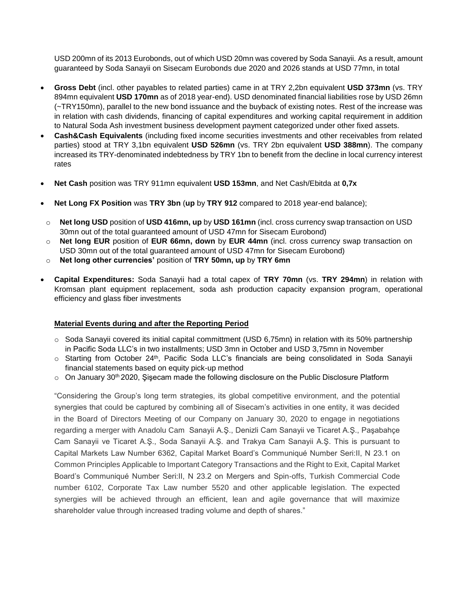USD 200mn of its 2013 Eurobonds, out of which USD 20mn was covered by Soda Sanayii. As a result, amount guaranteed by Soda Sanayii on Sisecam Eurobonds due 2020 and 2026 stands at USD 77mn, in total

- **Gross Debt** (incl. other payables to related parties) came in at TRY 2,2bn equivalent **USD 373mn** (vs. TRY 894mn equivalent **USD 170mn** as of 2018 year-end). USD denominated financial liabilities rose by USD 26mn (~TRY150mn), parallel to the new bond issuance and the buyback of existing notes. Rest of the increase was in relation with cash dividends, financing of capital expenditures and working capital requirement in addition to Natural Soda Ash investment business development payment categorized under other fixed assets.
- **Cash&Cash Equivalents** (including fixed income securities investments and other receivables from related parties) stood at TRY 3,1bn equivalent **USD 526mn** (vs. TRY 2bn equivalent **USD 388mn**). The company increased its TRY-denominated indebtedness by TRY 1bn to benefit from the decline in local currency interest rates
- **Net Cash** position was TRY 911mn equivalent **USD 153mn**, and Net Cash/Ebitda at **0,7x**
- **Net Long FX Position** was **TRY 3bn** (**up** by **TRY 912** compared to 2018 year-end balance);
- o **Net long USD** position of **USD 416mn, up** by **USD 161mn** (incl. cross currency swap transaction on USD 30mn out of the total guaranteed amount of USD 47mn for Sisecam Eurobond)
- o **Net long EUR** position of **EUR 66mn, down** by **EUR 44mn** (incl. cross currency swap transaction on USD 30mn out of the total guaranteed amount of USD 47mn for Sisecam Eurobond)
- o **Net long other currencies'** position of **TRY 50mn, up** by **TRY 6mn**
- **Capital Expenditures:** Soda Sanayii had a total capex of **TRY 70mn** (vs. **TRY 294mn**) in relation with Kromsan plant equipment replacement, soda ash production capacity expansion program, operational efficiency and glass fiber investments

#### **Material Events during and after the Reporting Period**

- $\circ$  Soda Sanayii covered its initial capital committment (USD 6,75mn) in relation with its 50% partnership in Pacific Soda LLC's in two installments; USD 3mn in October and USD 3,75mn in November
- $\circ$  Starting from October 24<sup>th</sup>, Pacific Soda LLC's financials are being consolidated in Soda Sanayii financial statements based on equity pick-up method
- $\circ$  On January 30<sup>th</sup> 2020, Şişecam made the following disclosure on the Public Disclosure Platform

"Considering the Group's long term strategies, its global competitive environment, and the potential synergies that could be captured by combining all of Sisecam's activities in one entity, it was decided in the Board of Directors Meeting of our Company on January 30, 2020 to engage in negotiations regarding a merger with Anadolu Cam Sanayii A.Ş., Denizli Cam Sanayii ve Ticaret A.Ş., Paşabahçe Cam Sanayii ve Ticaret A.Ş., Soda Sanayii A.Ş. and Trakya Cam Sanayii A.Ş. This is pursuant to Capital Markets Law Number 6362, Capital Market Board's Communiqué Number Seri:II, N 23.1 on Common Principles Applicable to Important Category Transactions and the Right to Exit, Capital Market Board's Communiqué Number Seri:II, N 23.2 on Mergers and Spin-offs, Turkish Commercial Code number 6102, Corporate Tax Law number 5520 and other applicable legislation. The expected synergies will be achieved through an efficient, lean and agile governance that will maximize shareholder value through increased trading volume and depth of shares."